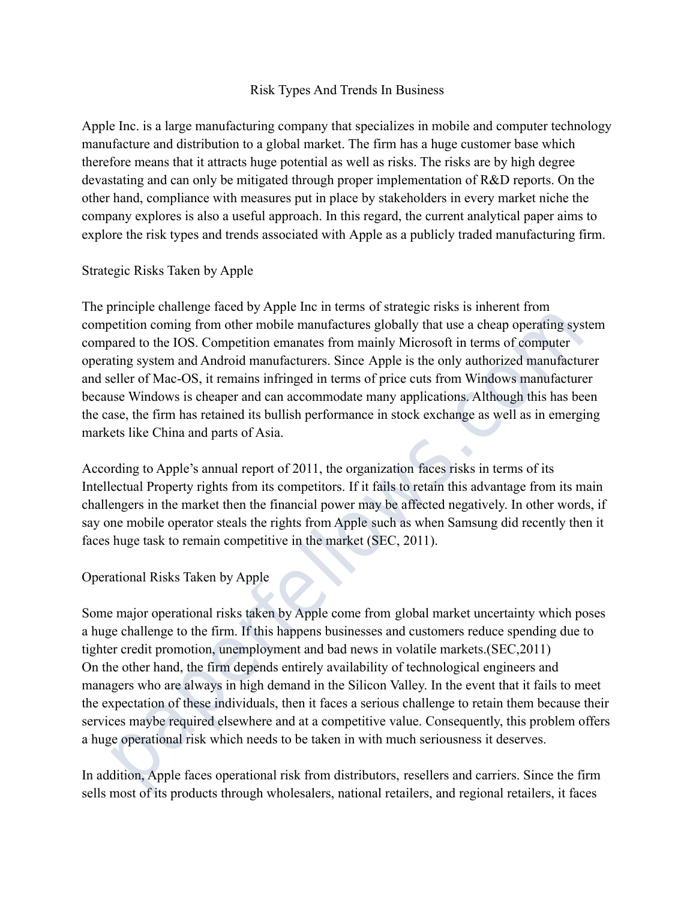## Risk Types And Trends In Business

Apple Inc. is a large manufacturing company that specializes in mobile and computer technology manufacture and distribution to a global market. The firm has a huge customer base which therefore means that it attracts huge potential as well as risks. The risks are by high degree devastating and can only be mitigated through proper implementation of R&D reports. On the other hand, compliance with measures put in place by stakeholders in every market niche the company explores is also a useful approach. In this regard, the current analytical paper aims to explore the risk types and trends associated with Apple as a publicly traded manufacturing firm.

## Strategic Risks Taken by Apple

The principle challenge faced by Apple Inc in terms of strategic risks is inherent from competition coming from other mobile manufactures globally that use a cheap operating system compared to the IOS. Competition emanates from mainly Microsoft in terms of computer operating system and Android manufacturers. Since Apple is the only authorized manufacturer and seller of Mac-OS, it remains infringed in terms of price cuts from Windows manufacturer because Windows is cheaper and can accommodate many applications. Although this has been the case, the firm has retained its bullish performance in stock exchange as well as in emerging markets like China and parts of Asia.

According to Apple's annual report of 2011, the organization faces risks in terms of its Intellectual Property rights from its competitors. If it fails to retain this advantage from its main challengers in the market then the financial power may be affected negatively. In other words, if say one mobile operator steals the rights from Apple such as when Samsung did recently then it faces huge task to remain competitive in the market (SEC, 2011).

## Operational Risks Taken by Apple

Some major operational risks taken by Apple come from global market uncertainty which poses a huge challenge to the firm. If this happens businesses and customers reduce spending due to tighter credit promotion, unemployment and bad news in volatile markets.(SEC,2011) On the other hand, the firm depends entirely availability of technological engineers and managers who are always in high demand in the Silicon Valley. In the event that it fails to meet the expectation of these individuals, then it faces a serious challenge to retain them because their services maybe required elsewhere and at a competitive value. Consequently, this problem offers a huge operational risk which needs to be taken in with much seriousness it deserves. etition coming from other mobile manufactures globally that use a cheap operating system<br>narted to HOS. Competition emantates from mainly Microsoft in terms of computer<br>ting system and Android manufacturers. Since Apple is

In addition, Apple faces operational risk from distributors, resellers and carriers. Since the firm sells most of its products through wholesalers, national retailers, and regional retailers, it faces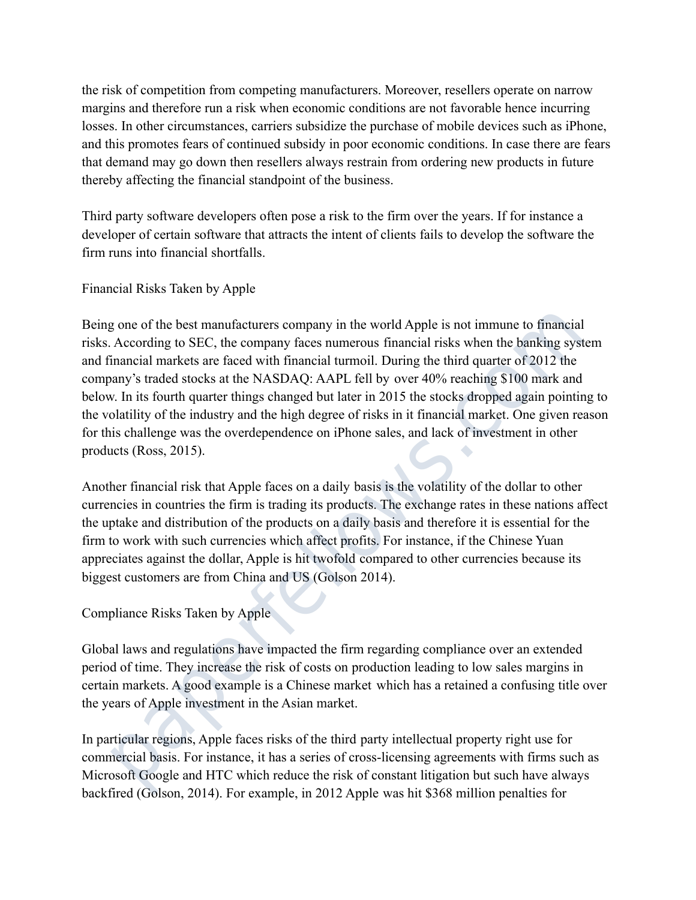the risk of competition from competing manufacturers. Moreover, resellers operate on narrow margins and therefore run a risk when economic conditions are not favorable hence incurring losses. In other circumstances, carriers subsidize the purchase of mobile devices such as iPhone, and this promotes fears of continued subsidy in poor economic conditions. In case there are fears that demand may go down then resellers always restrain from ordering new products in future thereby affecting the financial standpoint of the business.

Third party software developers often pose a risk to the firm over the years. If for instance a developer of certain software that attracts the intent of clients fails to develop the software the firm runs into financial shortfalls.

Financial Risks Taken by Apple

Being one of the best manufacturers company in the world Apple is not immune to financial risks. According to SEC, the company faces numerous financial risks when the banking system and financial markets are faced with financial turmoil. During the third quarter of 2012 the company's traded stocks at the NASDAQ: AAPL fell by over 40% reaching \$100 mark and below. In its fourth quarter things changed but later in 2015 the stocks dropped again pointing to the volatility of the industry and the high degree of risks in it financial market. One given reason for this challenge was the overdependence on iPhone sales, and lack of investment in other products (Ross, 2015). g one of the best manufacturers company in the world Apple is not immune to financial<br>According to SEC, the company faces numerous financial risks when the banking system<br>inancial markets are faced with financial turmoil.

Another financial risk that Apple faces on a daily basis is the volatility of the dollar to other currencies in countries the firm is trading its products. The exchange rates in these nations affect the uptake and distribution of the products on a daily basis and therefore it is essential for the firm to work with such currencies which affect profits. For instance, if the Chinese Yuan appreciates against the dollar, Apple is hit twofold compared to other currencies because its biggest customers are from China and US (Golson 2014).

Compliance Risks Taken by Apple

Global laws and regulations have impacted the firm regarding compliance over an extended period of time. They increase the risk of costs on production leading to low sales margins in certain markets. A good example is a Chinese market which has a retained a confusing title over the years of Apple investment in the Asian market.

In particular regions, Apple faces risks of the third party intellectual property right use for commercial basis. For instance, it has a series of cross-licensing agreements with firms such as Microsoft Google and HTC which reduce the risk of constant litigation but such have always backfired (Golson, 2014). For example, in 2012 Apple was hit \$368 million penalties for